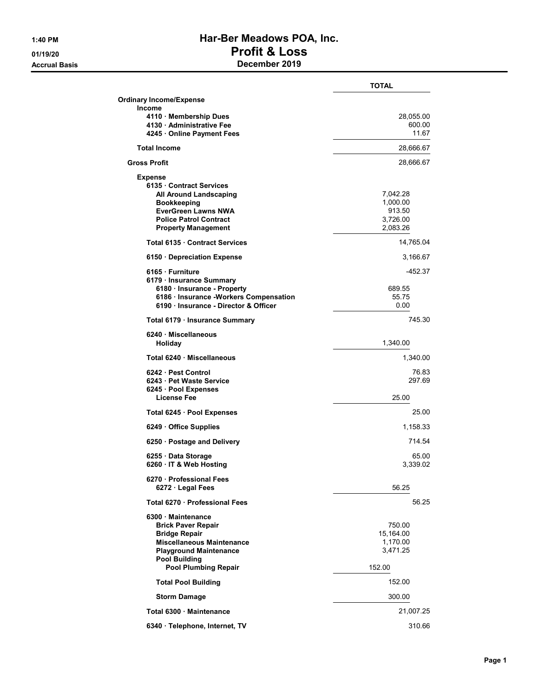## 1:40 PM Har-Ber Meadows POA, Inc. 01/19/20 Profit & Loss Accrual Basis December 2019

|                                                     | TOTAL     |
|-----------------------------------------------------|-----------|
| <b>Ordinary Income/Expense</b>                      |           |
| <b>Income</b>                                       |           |
| 4110 · Membership Dues                              | 28,055.00 |
| 4130 · Administrative Fee                           | 600.00    |
| 4245 Online Payment Fees                            | 11.67     |
| <b>Total Income</b>                                 | 28,666.67 |
| <b>Gross Profit</b>                                 | 28,666.67 |
| <b>Expense</b>                                      |           |
| 6135 Contract Services                              |           |
| <b>All Around Landscaping</b>                       | 7,042.28  |
| <b>Bookkeeping</b>                                  | 1,000.00  |
| <b>EverGreen Lawns NWA</b>                          | 913.50    |
| <b>Police Patrol Contract</b>                       | 3,726.00  |
| <b>Property Management</b>                          | 2,083.26  |
| Total 6135 Contract Services                        | 14,765.04 |
| 6150 Depreciation Expense                           | 3,166.67  |
| 6165 · Furniture<br>6179 · Insurance Summary        | $-452.37$ |
| 6180 · Insurance - Property                         | 689.55    |
| 6186 · Insurance -Workers Compensation              | 55.75     |
| 6190 Insurance - Director & Officer                 | 0.00      |
| Total 6179 · Insurance Summary                      | 745.30    |
|                                                     |           |
| 6240 · Miscellaneous<br>Holiday                     | 1,340.00  |
| Total 6240 Miscellaneous                            | 1,340.00  |
| 6242 Pest Control                                   | 76.83     |
| 6243 Pet Waste Service                              | 297.69    |
| 6245 · Pool Expenses                                |           |
| License Fee                                         | 25.00     |
| Total 6245 · Pool Expenses                          | 25.00     |
| 6249 Office Supplies                                | 1,158.33  |
| 6250 · Postage and Delivery                         | 714.54    |
| 6255 · Data Storage                                 | 65.00     |
| 6260 · IT & Web Hosting                             | 3,339.02  |
| 6270 · Professional Fees                            |           |
| $6272 \cdot$ Legal Fees                             | 56.25     |
| Total 6270 Professional Fees                        | 56.25     |
| 6300 Maintenance                                    |           |
| <b>Brick Paver Repair</b>                           | 750.00    |
| <b>Bridge Repair</b>                                | 15,164.00 |
| <b>Miscellaneous Maintenance</b>                    | 1,170.00  |
| <b>Playground Maintenance</b>                       | 3,471.25  |
| <b>Pool Building</b><br><b>Pool Plumbing Repair</b> | 152.00    |
|                                                     |           |
| <b>Total Pool Building</b>                          | 152.00    |
| <b>Storm Damage</b>                                 | 300.00    |
| Total 6300 · Maintenance                            | 21,007.25 |
| 6340 · Telephone, Internet, TV                      | 310.66    |